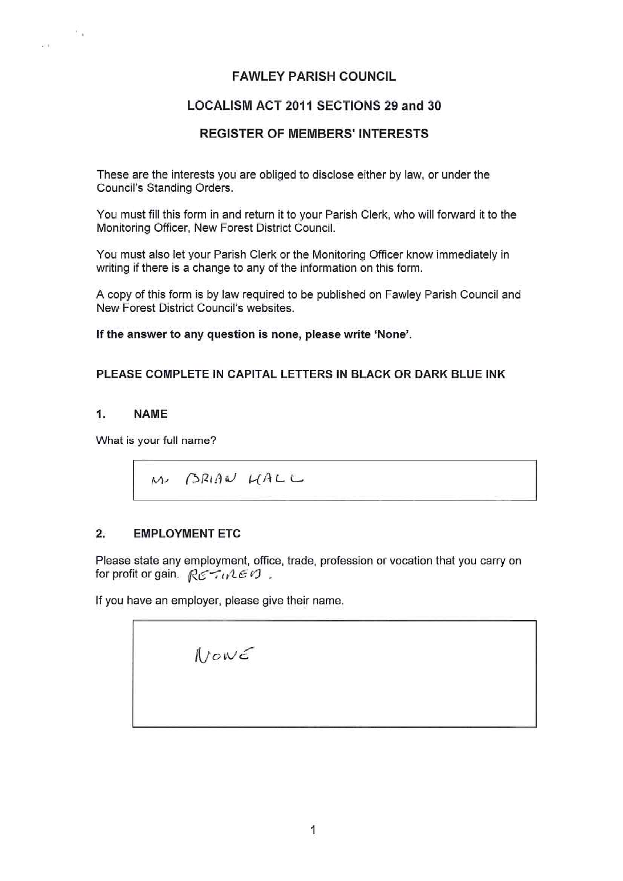# **FAWLEY PARISH COUNCIL**

# **LOCALISM ACT 2011 SECTIONS 29 and 30**

# **REGISTER OF MEMBERS' INTERESTS**

These are the interests you are obliged to disclose either by law, or under the Council's Standing Orders.

You must fill this form in and return it to your Parish Clerk, who will forward it to the Monitoring Officer, New Forest District Council.

You must also let your Parish Clerk or the Monitoring Officer know immediately in writing if there is a change to any of the information on this form.

A copy of this form is by law required to be published on Fawley Parish Council and New Forest District Council's websites.

**If the answer to any question is none, please write 'None'.** 

#### **PLEASE COMPLETE IN CAPITAL LETTERS IN BLACK OR DARK BLUE INK**

#### **1. NAME**

it is

 $\mu(\gamma)$ 

What is your full name?

M BRIAN HALL

# **2. EMPLOYMENT ETC**

Please state any employment, office, trade, profession or vocation that you carry on for profit or gain.  $R\epsilon - u\epsilon\epsilon$ 

If you have an employer, please give their name.

| Now E |  |  |
|-------|--|--|
|       |  |  |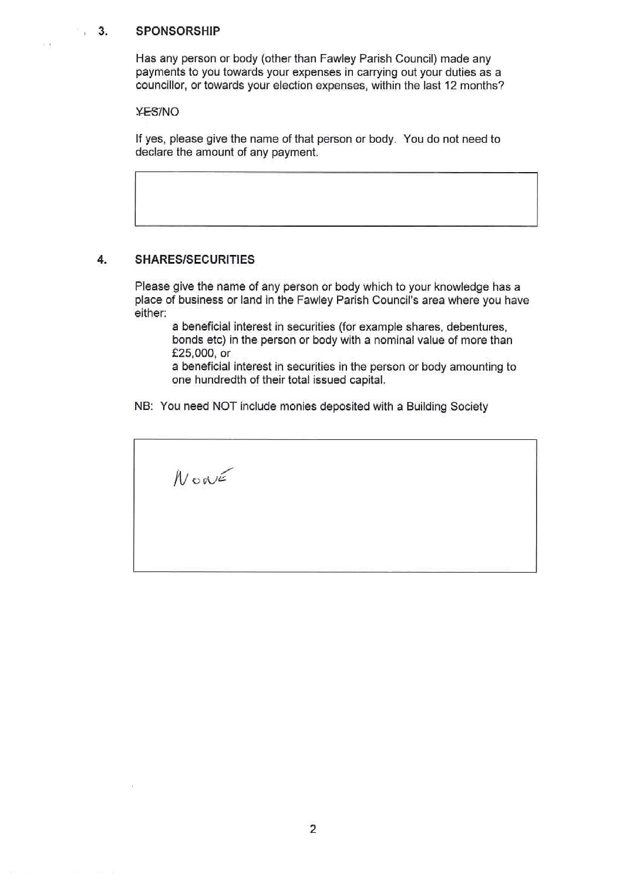#### , **3. SPONSORSHIP**

 $\sim$   $\alpha$ 

Has any person or body (other than Fawley Parish Council) made any payments to you towards your expenses in carrying out your duties as a councillor, or towards your election expenses, within the last 12 months?

YES/NO

If yes, please give the name of that person or body. You do not need to declare the amount of any payment.

#### **4. SHARES/SECURITIES**

Please give the name of any person or body which to your knowledge has a place of business or land in the Fawley Parish Council's area where you have either:

a beneficial interest in securities (for example shares, debentures, bonds etc) in the person or body with a nominal value of more than £25,000, or

a beneficial interest in securities in the person or body amounting to one hundredth of their total issued capital.

NB: You need NOT include monies deposited with a Building Society

 $N$ oné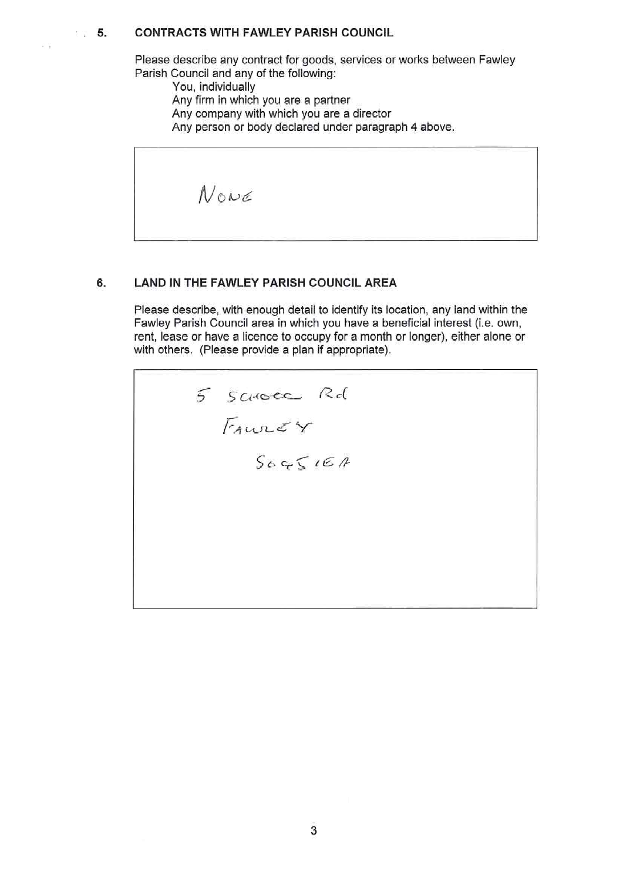### **5. CONTRACTS WITH FAWLEY PARISH COUNCIL**

Please describe any contract for goods, services or works between Fawley Parish Council and any of the following:

You, individually

 $\mu$  .

Any firm in which you are a partner

Any company with which you are a director

Any person or body declared under paragraph 4 above.

NONE

#### **6. LAND IN THE FAWLEY PARISH COUNCIL AREA**

Please describe, with enough detail to identify its location, any land within the Fawley Parish Council area in which you have a beneficial interest (i.e. own, rent, lease or have a licence to occupy for a month or longer), either alone or with others. (Please provide a plan if appropriate).

5 SCHOCC Rd  $T_{AUP}$  $S_0$   $S_0$   $S_0$   $S_0$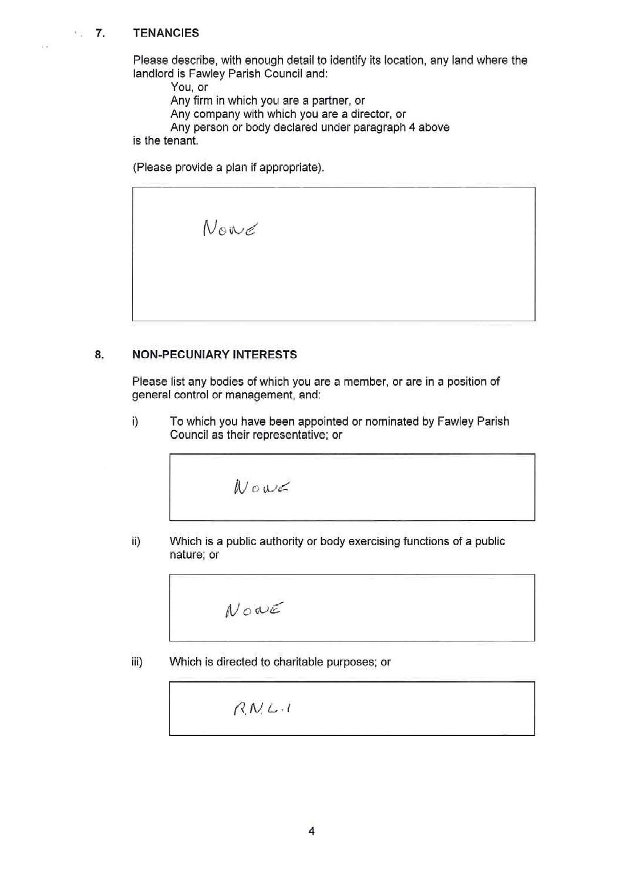# **7. TENANCIES**

 $102$ 

Please describe, with enough detail to identify its location, any land where the landlord is Fawley Parish Council and:

You, or

Any firm in which you are a partner, or

Any company with which you are a director, or

Any person or body declared under paragraph 4 above

is the tenant.

(Please provide a plan if appropriate).

Nowe

#### **8, NON-PECUNIARY INTERESTS**

Please list any bodies of which you are a member, or are in a position of general control or management, and:

i) To which you have been appointed or nominated by Fawley Parish Council as their representative; or

$$
\mathcal{W}\circ\omega\mathfrak{c}
$$

ii) Which is a public authority or body exercising functions of a public nature; or

$$
\mathcal{N}\circ\mathcal{\alpha}\in
$$

iii) Which is directed to charitable purposes; or

 $R N L.1$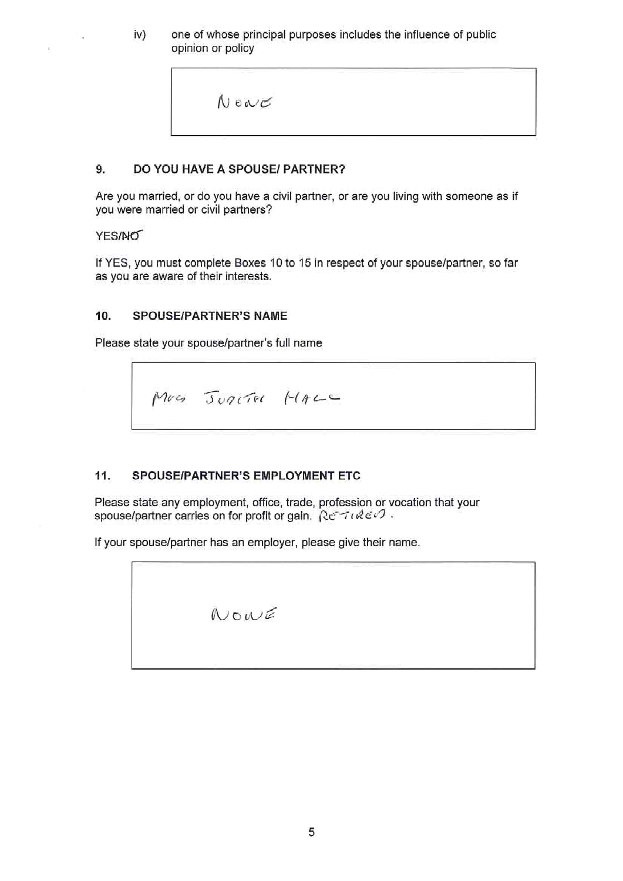iv) one of whose principal purposes includes the influence of public opinion or policy

|  |  | $N$ on $C$ |  |
|--|--|------------|--|
|--|--|------------|--|

# **9. DO YOU HAVE A SPOUSE/ PARTNER?**

Are you married, or do you have a civil partner, or are you living with someone as if you were married or civil partners?

# YES/NO

÷.,

If YES, you must complete Boxes 10 to 15 in respect of your spouse/partner, so far as you are aware of their interests.

# **10. SPOUSE/PARTNER'S NAME**

Please state your spouse/partner's full name

Mus JUACTEL HALL

# **11. SPOUSE/PARTNER'S EMPLOYMENT ETC**

Please state any employment, office, trade, profession or vocation that your spouse/partner carries on for profit or gain.  $\mathcal{R} \in \mathcal{T} \cup \mathcal{R} \in \mathcal{O}$ .

If your spouse/partner has an employer, please give their name.

|  | NormE |  |  |  |
|--|-------|--|--|--|
|  |       |  |  |  |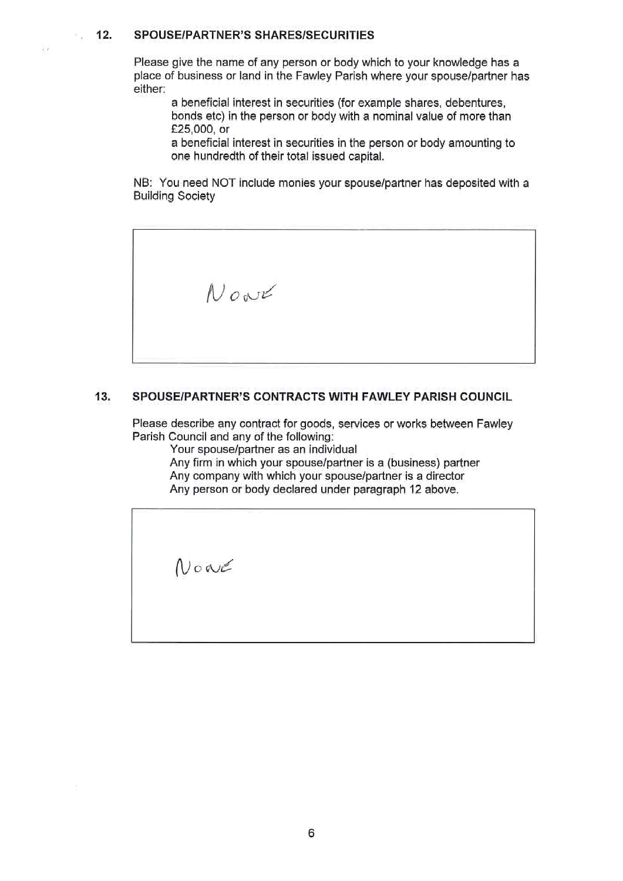# **12. SPOUSE/PARTNER'S SHARES/SECURITIES**

 $\mathcal{W}_{\infty}$ 

 $\frac{1}{2}$ 

Please give the name of any person or body which to your knowledge has a place of business or land in the Fawley Parish where your spouse/partner has either:

a beneficial interest in securities (for example shares, debentures, bonds etc) in the person or body with a nominal value of more than £25,000, or

a beneficial interest in securities in the person or body amounting to one hundredth of their total issued capital.

NB: You need NOT include monies your spouse/partner has deposited with a Building Society

Now

# **13. SPOUSE/PARTNER'S CONTRACTS WITH FAWLEY PARISH COUNCIL**

Please describe any contract for goods, services or works between Fawley Parish Council and any of the following:

Your spouse/partner as an individual

Any firm in which your spouse/partner is a (business) partner Any company with which your spouse/partner is a director Any person or body declared under paragraph 12 above.

 $\mathcal N$  or  $\epsilon$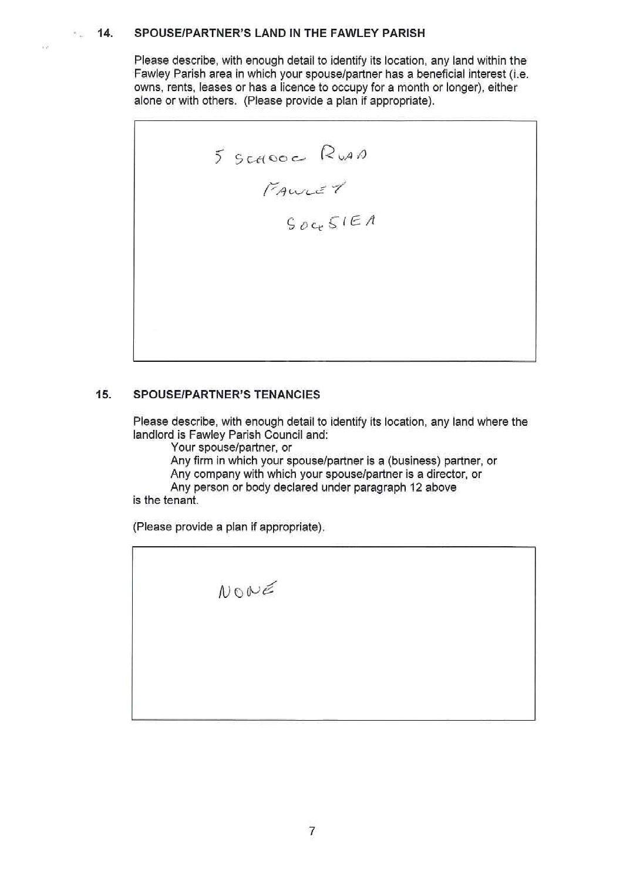#### **14. SPOUSE/PARTNER'S LAND IN THE FAWLEY PARISH**   $\Theta(\frac{1}{2}m)$

Please describe, with enough detail to identify its location, any land within the Fawley Parish area in which your spouse/partner has a beneficial interest (i.e. owns, rents, leases or has a licence to occupy for a month or longer), either alone or with others. (Please provide a plan if appropriate).

5 SCHOOC RUAN<br>FAWLEY<br>SOCESIEA

#### **15. SPOUSE/PARTNER'S TENANCIES**

Please describe, with enough detail to identify its location, any land where the landlord is Fawley Parish Council and:

Your spouse/partner, or

Any firm in which your spouse/partner is a (business) partner, or Any company with which your spouse/partner ls a director, or Any person or body declared under paragraph 12 above

is the tenant.

. ,

(Please provide a plan if appropriate).

NONE